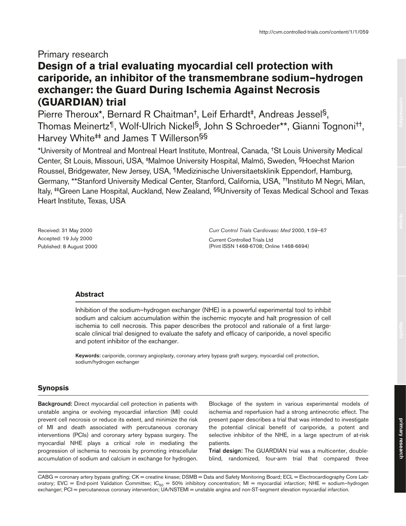# Primary research

# **Design of a trial evaluating myocardial cell protection with cariporide, an inhibitor of the transmembrane sodium–hydrogen exchanger: the Guard During Ischemia Against Necrosis (GUARDIAN) trial**

Pierre Theroux\*, Bernard R Chaitman<sup>†</sup>, Leif Erhardt<sup>‡</sup>, Andreas Jessel<sup>§</sup>, Thomas Meinertz¶, Wolf-Ulrich Nickel§, John S Schroeder\*\*, Gianni Tognoni††, Harvey White<sup>##</sup> and James T Willerson<sup>§§</sup>

\*University of Montreal and Montreal Heart Institute, Montreal, Canada, †St Louis University Medical Center, St Louis, Missouri, USA, ‡Malmoe University Hospital, Malmö, Sweden, §Hoechst Marion Roussel, Bridgewater, New Jersey, USA, ¶Medizinische Universitaetsklinik Eppendorf, Hamburg, Germany, \*\*Stanford University Medical Center, Stanford, California, USA, ††Instituto M Negri, Milan, Italy, <sup>#</sup>Green Lane Hospital, Auckland, New Zealand, <sup>§§</sup>University of Texas Medical School and Texas Heart Institute, Texas, USA

Received: 31 May 2000 Accepted: 19 July 2000 Published: 8 August 2000 *Curr Control Trials Cardiovasc Med* 2000, **1**:59–67

Current Controlled Trials Ltd (Print ISSN 1468-6708; Online 1468-6694)

# **Abstract**

Inhibition of the sodium–hydrogen exchanger (NHE) is a powerful experimental tool to inhibit sodium and calcium accumulation within the ischemic myocyte and halt progression of cell ischemia to cell necrosis. This paper describes the protocol and rationale of a first largescale clinical trial designed to evaluate the safety and efficacy of cariporide, a novel specific and potent inhibitor of the exchanger.

**Keywords:** cariporide, coronary angioplasty, coronary artery bypass graft surgery, myocardial cell protection, sodium/hydrogen exchanger

# **Synopsis**

**Background:** Direct myocardial cell protection in patients with unstable angina or evolving myocardial infarction (MI) could prevent cell necrosis or reduce its extent, and minimize the risk of MI and death associated with percutaneous coronary interventions (PCIs) and coronary artery bypass surgery. The myocardial NHE plays a critical role in mediating the progression of ischemia to necrosis by promoting intracellular accumulation of sodium and calcium in exchange for hydrogen. Blockage of the system in various experimental models of ischemia and reperfusion had a strong antinecrotic effect. The present paper describes a trial that was intended to investigate the potential clinical benefit of cariporide, a potent and selective inhibitor of the NHE, in a large spectrum of at-risk patients.

**Trial design:** The GUARDIAN trial was a multicenter, doubleblind, randomized, four-arm trial that compared three

CABG = coronary artery bypass grafting; CK = creatine kinase; DSMB = Data and Safety Monitoring Board; ECL = Electrocardiography Core Laboratory; EVC = End-point Validation Committee;  $IC_{50} = 50\%$  inhibitory concentration; MI = myocardial infarction; NHE = sodium–hydrogen exchanger; PCI = percutaneous coronary intervention; UA/NSTEMI = unstable angina and non-ST-segment elevation myocardial infarction.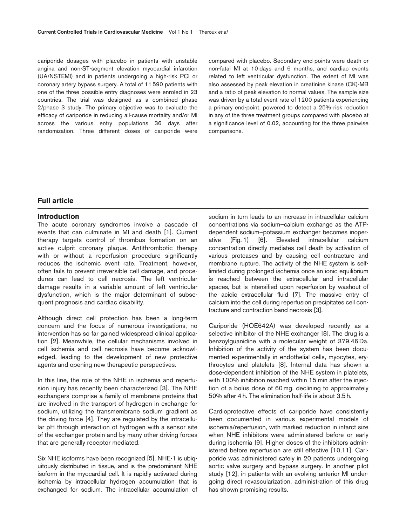cariporide dosages with placebo in patients with unstable angina and non-ST-segment elevation myocardial infarction (UA/NSTEMI) and in patients undergoing a high-risk PCI or coronary artery bypass surgery. A total of 11 590 patients with one of the three possible entry diagnoses were enroled in 23 countries. The trial was designed as a combined phase 2/phase 3 study. The primary objective was to evaluate the efficacy of cariporide in reducing all-cause mortality and/or MI across the various entry populations 36 days after randomization. Three different doses of cariporide were compared with placebo. Secondary end-points were death or non-fatal MI at 10 days and 6 months, and cardiac events related to left ventricular dysfunction. The extent of MI was also assessed by peak elevation in creatinine kinase (CK)-MB and a ratio of peak elevation to normal values. The sample size was driven by a total event rate of 1200 patients experiencing a primary end-point, powered to detect a 25% risk reduction in any of the three treatment groups compared with placebo at a significance level of 0.02, accounting for the three pairwise comparisons.

# **Full article**

# **Introduction**

The acute coronary syndromes involve a cascade of events that can culminate in MI and death [1]. Current therapy targets control of thrombus formation on an active culprit coronary plaque. Antithrombotic therapy with or without a reperfusion procedure significantly reduces the ischemic event rate. Treatment, however, often fails to prevent irreversible cell damage, and procedures can lead to cell necrosis. The left ventricular damage results in a variable amount of left ventricular dysfunction, which is the major determinant of subsequent prognosis and cardiac disability.

Although direct cell protection has been a long-term concern and the focus of numerous investigations, no intervention has so far gained widespread clinical application [2]. Meanwhile, the cellular mechanisms involved in cell ischemia and cell necrosis have become acknowledged, leading to the development of new protective agents and opening new therapeutic perspectives.

In this line, the role of the NHE in ischemia and reperfusion injury has recently been characterized [3]. The NHE exchangers comprise a family of membrane proteins that are involved in the transport of hydrogen in exchange for sodium, utilizing the transmembrane sodium gradient as the driving force [4]. They are regulated by the intracellular pH through interaction of hydrogen with a sensor site of the exchanger protein and by many other driving forces that are generally receptor mediated.

Six NHE isoforms have been recognized [5]. NHE-1 is ubiquitously distributed in tissue, and is the predominant NHE isoform in the myocardial cell. It is rapidly activated during ischemia by intracellular hydrogen accumulation that is exchanged for sodium. The intracellular accumulation of sodium in turn leads to an increase in intracellular calcium concentrations via sodium–calcium exchange as the ATPdependent sodium–potassium exchanger becomes inoperative (Fig. 1) [6]. Elevated intracellular calcium concentration directly mediates cell death by activation of various proteases and by causing cell contracture and membrane rupture. The activity of the NHE system is selflimited during prolonged ischemia once an ionic equilibrium is reached between the extracellular and intracellular spaces, but is intensified upon reperfusion by washout of the acidic extracellular fluid [7]. The massive entry of calcium into the cell during reperfusion precipitates cell contracture and contraction band necrosis [3].

Cariporide (HOE642A) was developed recently as a selective inhibitor of the NHE exchanger [8]. The drug is a benzoylguanidine with a molecular weight of 379.46 Da. Inhibition of the activity of the system has been documented experimentally in endothelial cells, myocytes, erythrocytes and platelets [8]. Internal data has shown a dose-dependent inhibition of the NHE system in platelets, with 100% inhibition reached within 15 min after the injection of a bolus dose of 60 mg, declining to approximately 50% after 4 h. The elimination half-life is about 3.5 h.

Cardioprotective effects of cariporide have consistently been documented in various experimental models of ischemia/reperfusion, with marked reduction in infarct size when NHE inhibitors were administered before or early during ischemia [9]. Higher doses of the inhibitors administered before reperfusion are still effective [10,11]. Cariporide was administered safely in 20 patients undergoing aortic valve surgery and bypass surgery. In another pilot study [12], in patients with an evolving anterior MI undergoing direct revascularization, administration of this drug has shown promising results.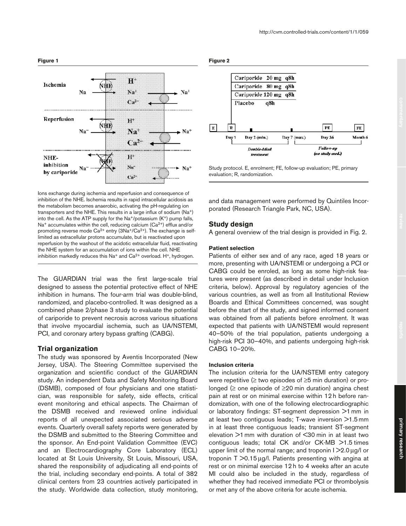

Ions exchange during ischemia and reperfusion and consequence of inhibition of the NHE. Ischemia results in rapid intracellular acidosis as the metabolism becomes anaerobic, activating the pH-regulating ion transporters and the NHE. This results in a large influx of sodium (Na+) into the cell. As the ATP supply for the Na<sup>+</sup>/potassium  $(K<sup>+</sup>)$  pump falls, Na<sup>+</sup> accumulates within the cell, reducing calcium (Ca<sup>2+</sup>) efflux and/or promoting reverse mode  $Ca^{2+}$  entry ( $3Na^{+}/Ca^{2+}$ ). The exchange is selflimited as extracellular protons accumulate, but is reactivated upon reperfusion by the washout of the acidotic extracellular fluid, reactivating the NHE system for an accumulation of ions within the cell. NHE inhibition markedly reduces this  $Na^+$  and  $Ca^{2+}$  overload. H<sup>+</sup>, hydrogen.

The GUARDIAN trial was the first large-scale trial designed to assess the potential protective effect of NHE inhibition in humans. The four-arm trial was double-blind, randomized, and placebo-controlled. It was designed as a combined phase 2/phase 3 study to evaluate the potential of cariporide to prevent necrosis across various situations that involve myocardial ischemia, such as UA/NSTEMI, PCI, and coronary artery bypass grafting (CABG).

# **Trial organization**

The study was sponsored by Aventis Incorporated (New Jersey, USA). The Steering Committee supervised the organization and scientific conduct of the GUARDIAN study. An independent Data and Safety Monitoring Board (DSMB), composed of four physicians and one statistician, was responsible for safety, side effects, critical event monitoring and ethical aspects. The Chairman of the DSMB received and reviewed online individual reports of all unexpected associated serious adverse events. Quarterly overall safety reports were generated by the DSMB and submitted to the Steering Committee and the sponsor. An End-point Validation Committee (EVC) and an Electrocardiography Core Laboratory (ECL) located at St Louis University, St Louis, Missouri, USA, shared the responsibility of adjudicating all end-points of the trial, including secondary end-points. A total of 382 clinical centers from 23 countries actively participated in the study. Worldwide data collection, study monitoring,





Study protocol. E, enrolment; FE, follow-up evaluation; PE, primary evaluation; R, randomization.

and data management were performed by Quintiles Incorporated (Research Triangle Park, NC, USA).

# **Study design**

A general overview of the trial design is provided in Fig. 2.

## **Patient selection**

Patients of either sex and of any race, aged 18 years or more, presenting with UA/NSTEMI or undergoing a PCI or CABG could be enroled, as long as some high-risk features were present (as described in detail under Inclusion criteria, below). Approval by regulatory agencies of the various countries, as well as from all Institutional Review Boards and Ethical Committees concerned, was sought before the start of the study, and signed informed consent was obtained from all patients before enrolment. It was expected that patients with UA/NSTEMI would represent 40–50% of the trial population, patients undergoing a high-risk PCI 30–40%, and patients undergoing high-risk CABG 10–20%.

### **Inclusion criteria**

The inclusion criteria for the UA/NSTEMI entry category were repetitive  $(≥$  two episodes of  $≥$ 5 min duration) or prolonged (≥ one episode of ≥20 min duration) angina chest pain at rest or on minimal exercise within 12 h before randomization, with one of the following electrocardiographic or laboratory findings: ST-segment depression >1 mm in at least two contiguous leads; T-wave inversion >1.5 mm in at least three contiguous leads; transient ST-segment elevation >1 mm with duration of <30 min in at least two contiguous leads; total CK and/or CK-MB >1.5 times upper limit of the normal range; and troponin  $1 > 2.0 \mu g/l$  or troponin T >0.15µg/l. Patients presenting with angina at rest or on minimal exercise 12 h to 4 weeks after an acute MI could also be included in the study, regardless of whether they had received immediate PCI or thrombolysis or met any of the above criteria for acute ischemia.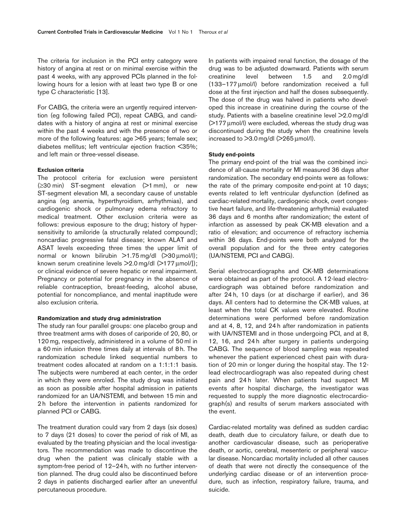The criteria for inclusion in the PCI entry category were history of angina at rest or on minimal exercise within the past 4 weeks, with any approved PCIs planned in the following hours for a lesion with at least two type B or one type C characteristic [13].

For CABG, the criteria were an urgently required intervention (eg following failed PCI), repeat CABG, and candidates with a history of angina at rest or minimal exercise within the past 4 weeks and with the presence of two or more of the following features: age >65 years; female sex; diabetes mellitus; left ventricular ejection fraction <35%; and left main or three-vessel disease.

# **Exclusion criteria**

The protocol criteria for exclusion were persistent  $(\geq 30 \text{ min})$  ST-segment elevation  $(\geq 1 \text{ mm})$ , or new ST-segment elevation MI, a secondary cause of unstable angina (eg anemia, hyperthyroidism, arrhythmias), and cardiogenic shock or pulmonary edema refractory to medical treatment. Other exclusion criteria were as follows: previous exposure to the drug; history of hypersensitivity to amiloride (a structurally related compound); noncardiac progressive fatal disease; known ALAT and ASAT levels exceeding three times the upper limit of normal or known bilirubin >1.75 mg/dl (>30 µmol/l); known serum creatinine levels > 2.0 mg/dl (> 177 µmol/]); or clinical evidence of severe hepatic or renal impairment. Pregnancy or potential for pregnancy in the absence of reliable contraception, breast-feeding, alcohol abuse, potential for noncompliance, and mental inaptitude were also exclusion criteria.

# **Randomization and study drug administration**

The study ran four parallel groups: one placebo group and three treatment arms with doses of cariporide of 20, 80, or 120 mg, respectively, administered in a volume of 50 ml in a 60 min infusion three times daily at intervals of 8 h. The randomization schedule linked sequential numbers to treatment codes allocated at random on a 1:1:1:1 basis. The subjects were numbered at each center, in the order in which they were enroled. The study drug was initiated as soon as possible after hospital admission in patients randomized for an UA/NSTEMI, and between 15 min and 2 h before the intervention in patients randomized for planned PCI or CABG.

The treatment duration could vary from 2 days (six doses) to 7 days (21 doses) to cover the period of risk of MI, as evaluated by the treating physician and the local investigators. The recommendation was made to discontinue the drug when the patient was clinically stable with a symptom-free period of 12–24 h, with no further intervention planned. The drug could also be discontinued before 2 days in patients discharged earlier after an uneventful percutaneous procedure.

In patients with impaired renal function, the dosage of the drug was to be adjusted downward. Patients with serum creatinine level between 1.5 and 2.0 mg/dl (133–177µmol/l) before randomization received a full dose at the first injection and half the doses subsequently. The dose of the drug was halved in patients who developed this increase in creatinine during the course of the study. Patients with a baseline creatinine level > 2.0 mg/dl (>177µmol/l) were excluded, whereas the study drug was discontinued during the study when the creatinine levels  $increased$  to  $>3.0$  mg/dl  $(>265$  umol/l).

# **Study end-points**

The primary end-point of the trial was the combined incidence of all-cause mortality or MI measured 36 days after randomization. The secondary end-points were as follows: the rate of the primary composite end-point at 10 days; events related to left ventricular dysfunction (defined as cardiac-related mortality, cardiogenic shock, overt congestive heart failure, and life-threatening arrhythmia) evaluated 36 days and 6 months after randomization; the extent of infarction as assessed by peak CK-MB elevation and a ratio of elevation; and occurrence of refractory ischemia within 36 days. End-points were both analyzed for the overall population and for the three entry categories (UA/NSTEMI, PCI and CABG).

Serial electrocardiographs and CK-MB determinations were obtained as part of the protocol. A 12-lead electrocardiograph was obtained before randomization and after 24 h, 10 days (or at discharge if earlier), and 36 days. All centers had to determine the CK-MB values, at least when the total CK values were elevated. Routine determinations were performed before randomization and at 4, 8, 12, and 24 h after randomization in patients with UA/NSTEMI and in those undergoing PCI, and at 8, 12, 16, and 24 h after surgery in patients undergoing CABG. The sequence of blood sampling was repeated whenever the patient experienced chest pain with duration of 20 min or longer during the hospital stay. The 12 lead electrocardiograph was also repeated during chest pain and 24 h later. When patients had suspect MI events after hospital discharge, the investigator was requested to supply the more diagnostic electrocardiograph(s) and results of serum markers associated with the event.

Cardiac-related mortality was defined as sudden cardiac death, death due to circulatory failure, or death due to another cardiovascular disease, such as perioperative death, or aortic, cerebral, mesenteric or peripheral vascular disease. Noncardiac mortality included all other causes of death that were not directly the consequence of the underlying cardiac disease or of an intervention procedure, such as infection, respiratory failure, trauma, and suicide.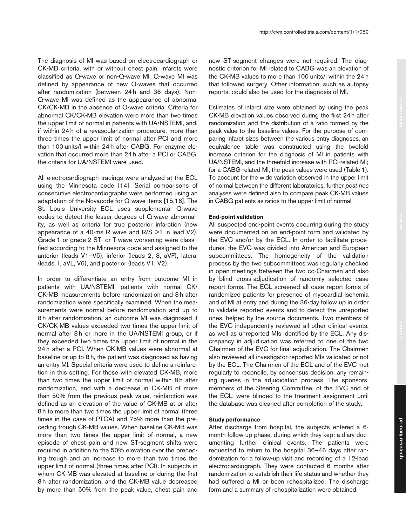The diagnosis of MI was based on electrocardiograph or CK-MB criteria, with or without chest pain. Infarcts were classified as Q-wave or non-Q-wave MI. Q-wave MI was defined by appearance of new Q-waves that occurred after randomization (between 24 h and 36 days). Non-Q-wave MI was defined as the appearance of abnormal CK/CK-MB in the absence of Q-wave criteria. Criteria for abnormal CK/CK-MB elevation were more than two times the upper limit of normal in patients with UA/NSTEMI, and, if within 24 h of a revascularization procedure, more than three times the upper limit of normal after PCI and more than 100 units/l within 24 h after CABG. For enzyme elevation that occurred more than 24 h after a PCI or CABG, the criteria for UA/NSTEMI were used.

All electrocardiograph tracings were analyzed at the ECL using the Minnesota code [14]. Serial comparisons of consecutive electrocardiographs were performed using an adaptation of the Novacode for Q-wave items [15,16]. The St. Louis University ECL uses supplemental Q-wave codes to detect the lesser degrees of Q-wave abnormality, as well as criteria for true posterior infarction (new appearance of a 40-ms R wave and R/S >1 in lead V2). Grade 1 or grade 2 ST- or T-wave worsening were classified according to the Minnesota code and assigned to the anterior (leads V1–V5), inferior (leads 2, 3, aVF), lateral (leads 1, aVL, V6), and posterior (leads V1, V2).

In order to differentiate an entry from outcome MI in patients with UA/NSTEMI, patients with normal CK/ CK-MB measurements before randomization and 8 h after randomization were specifically examined. When the measurements were normal before randomization and up to 8 h after randomization, an outcome MI was diagnosed if CK/CK-MB values exceeded two times the upper limit of normal after 8 h or more in the UA/NSTEMI group, or if they exceeded two times the upper limit of normal in the 24 h after a PCI. When CK-MB values were abnormal at baseline or up to 8 h, the patient was diagnosed as having an entry MI. Special criteria were used to define a reinfarction in this setting. For those with elevated CK-MB, more than two times the upper limit of normal within 8 h after randomization, and with a decrease in CK-MB of more than 50% from the previous peak value, reinfarction was defined as an elevation of the value of CK-MB at or after 8 h to more than two times the upper limit of normal (three times in the case of PTCA) and 75% more than the preceding trough CK-MB values. When baseline CK-MB was more than two times the upper limit of normal, a new episode of chest pain and new ST-segment shifts were required in addition to the 50% elevation over the preceding trough and an increase to more than two times the upper limit of normal (three times after PCI). In subjects in whom CK-MB was elevated at baseline or during the first 8 h after randomization, and the CK-MB value decreased by more than 50% from the peak value, chest pain and

new ST-segment changes were not required. The diagnostic criterion for MI related to CABG was an elevation of the CK-MB values to more than 100 units/l within the 24 h that followed surgery. Other information, such as autopsy reports, could also be used for the diagnosis of MI.

Estimates of infarct size were obtained by using the peak CK-MB elevation values observed during the first 24h after randomization and the distribution of a ratio formed by the peak value to the baseline values. For the purpose of comparing infarct sizes between the various entry diagnoses, an equivalence table was constructed using the twofold increase criterion for the diagnosis of MI in patients with UA/NSTEMI, and the threefold increase with PCI-related MI; for a CABG-related MI, the peak values were used (Table 1). To account for the wide variation observed in the upper limit of normal between the different laboratories, further *post hoc* analyses were defined also to compare peak CK-MB values in CABG patients as ratios to the upper limit of normal.

### **End-point validation**

All suspected end-point events occurring during the study were documented on an end-point form and validated by the EVC and/or by the ECL. In order to facilitate procedures, the EVC was divided into American and European subcommittees. The homogeneity of the validation process by the two subcommittees was regularly checked in open meetings between the two co-Chairmen and also by blind cross-adjudication of randomly selected case report forms. The ECL screened all case report forms of randomized patients for presence of myocardial ischemia and of MI at entry and during the 36-day follow up in order to validate reported events and to detect the unreported ones, helped by the source documents. Two members of the EVC independently reviewed all other clinical events, as well as unreported MIs identified by the ECL. Any discrepancy in adjudication was referred to one of the two Chairmen of the EVC for final adjudication. The Chairmen also reviewed all investigator-reported MIs validated or not by the ECL. The Chairmen of the ECL and of the EVC met regularly to reconcile, by consensus decision, any remaining queries in the adjudication process. The sponsors, members of the Steering Committee, of the EVC and of the ECL, were blinded to the treatment assignment until the database was cleaned after completion of the study.

# **Study performance**

After discharge from hospital, the subjects entered a 6 month follow-up phase, during which they kept a diary documenting further clinical events. The patients were requested to return to the hospital 36–46 days after randomization for a follow-up visit and recording of a 12-lead electrocardiograph. They were contacted 6 months after randomization to establish their life status and whether they had suffered a MI or been rehospitalized. The discharge form and a summary of rehospitalization were obtained.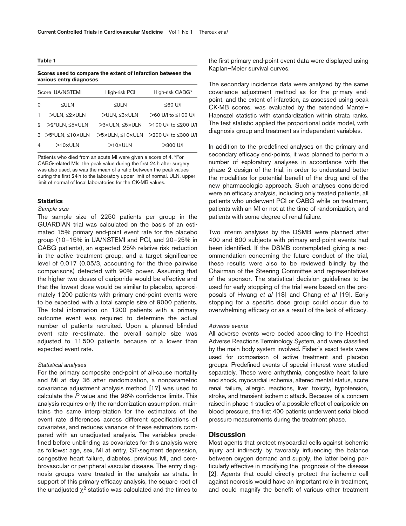#### **Table 1**

#### **Scores used to compare the extent of infarction between the various entry diagnoses**

|                | Score UA/NSTEMI       | High-risk PCI   | High-risk CABG*                      |  |  |
|----------------|-----------------------|-----------------|--------------------------------------|--|--|
| $\Omega$       | ≤ULN                  | ≤ULN            | ≤60 U/I                              |  |  |
| 1              | >ULN, ≤2×ULN          | >ULN, ≤3×ULN    | >60 U/I to ≤100 U/I                  |  |  |
| $2^{\circ}$    | >2*ULN, ≤5×ULN        | >3×ULN. ≤5×ULN  | >100 U/l to <200 U/l                 |  |  |
|                | 3 > 5* ULN, ≤10 × ULN |                 | >5xULN, <10xULN >200 U/l to <300 U/l |  |  |
| $\overline{4}$ | $>10\times$ ULN       | $>10\times$ ULN | >300 U/I                             |  |  |

Patients who died from an acute MI were given a score of 4. \*For CABG-related MIs, the peak value during the first 24 h after surgery was also used, as was the mean of a ratio between the peak values during the first 24 h to the laboratory upper limit of normal. ULN, upper limit of normal of local laboratories for the CK-MB values.

#### **Statistics**

### *Sample size*

The sample size of 2250 patients per group in the GUARDIAN trial was calculated on the basis of an estimated 15% primary end-point event rate for the placebo group (10–15% in UA/NSTEMI and PCI, and 20–25% in CABG patients), an expected 25% relative risk reduction in the active treatment group, and a target significance level of 0.017 (0.05/3, accounting for the three pairwise comparisons) detected with 90% power. Assuming that the higher two doses of cariporide would be effective and that the lowest dose would be similar to placebo, approximately 1200 patients with primary end-point events were to be expected with a total sample size of 9000 patients. The total information on 1200 patients with a primary outcome event was required to determine the actual number of patients recruited. Upon a planned blinded event rate re-estimate, the overall sample size was adjusted to 11 500 patients because of a lower than expected event rate.

#### *Statistical analyses*

For the primary composite end-point of all-cause mortality and MI at day 36 after randomization, a nonparametric covariance adjustment analysis method [17] was used to calculate the *P* value and the 98% confidence limits. This analysis requires only the randomization assumption, maintains the same interpretation for the estimators of the event rate differences across different specifications of covariates, and reduces variance of these estimators compared with an unadjusted analysis. The variables predefined before unblinding as covariates for this analysis were as follows: age, sex, MI at entry, ST-segment depression, congestive heart failure, diabetes, previous MI, and cerebrovascular or peripheral vascular disease. The entry diagnosis groups were treated in the analysis as strata. In support of this primary efficacy analysis, the square root of the unadjusted  $\chi^2$  statistic was calculated and the times to the first primary end-point event data were displayed using Kaplan–Meier survival curves.

The secondary incidence data were analyzed by the same covariance adjustment method as for the primary endpoint, and the extent of infarction, as assessed using peak CK-MB scores, was evaluated by the extended Mantel– Haenszel statistic with standardization within strata ranks. The test statistic applied the proportional odds model, with diagnosis group and treatment as independent variables.

In addition to the predefined analyses on the primary and secondary efficacy end-points, it was planned to perform a number of exploratory analyses in accordance with the phase 2 design of the trial, in order to understand better the modalities for potential benefit of the drug and of the new pharmacologic approach. Such analyses considered were an efficacy analysis, including only treated patients, all patients who underwent PCI or CABG while on treatment, patients with an MI or not at the time of randomization, and patients with some degree of renal failure.

Two interim analyses by the DSMB were planned after 400 and 800 subjects with primary end-point events had been identified. If the DSMB contemplated giving a recommendation concerning the future conduct of the trial, these results were also to be reviewed blindly by the Chairman of the Steering Committee and representatives of the sponsor. The statistical decision guidelines to be used for early stopping of the trial were based on the proposals of Hwang *et al* [18] and Chang *et al* [19]. Early stopping for a specific dose group could occur due to overwhelming efficacy or as a result of the lack of efficacy.

### *Adverse events*

All adverse events were coded according to the Hoechst Adverse Reactions Terminology System, and were classified by the main body system involved. Fisher's exact tests were used for comparison of active treatment and placebo groups. Predefined events of special interest were studied separately. These were arrhythmia, congestive heart failure and shock, myocardial ischemia, altered mental status, acute renal failure, allergic reactions, liver toxicity, hypotension, stroke, and transient ischemic attack. Because of a concern raised in phase 1 studies of a possible effect of cariporide on blood pressure, the first 400 patients underwent serial blood pressure measurements during the treatment phase.

### **Discussion**

Most agents that protect myocardial cells against ischemic injury act indirectly by favorably influencing the balance between oxygen demand and supply, the latter being particularly effective in modifying the prognosis of the disease [2]. Agents that could directly protect the ischemic cell against necrosis would have an important role in treatment, and could magnify the benefit of various other treatment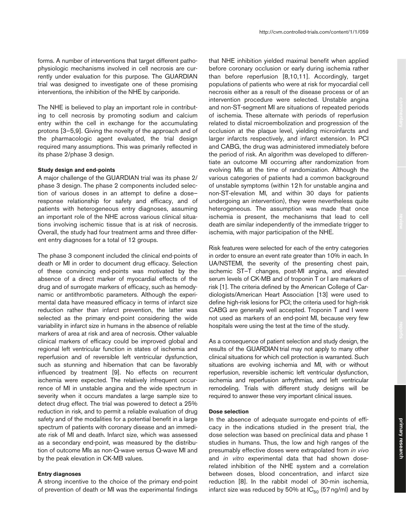forms. A number of interventions that target different pathophysiologic mechanisms involved in cell necrosis are currently under evaluation for this purpose. The GUARDIAN trial was designed to investigate one of these promising interventions, the inhibition of the NHE by cariporide.

The NHE is believed to play an important role in contributing to cell necrosis by promoting sodium and calcium entry within the cell in exchange for the accumulating protons [3–5,9]. Giving the novelty of the approach and of the pharmacologic agent evaluated, the trial design required many assumptions. This was primarily reflected in its phase 2/phase 3 design.

# **Study design and end-points**

A major challenge of the GUARDIAN trial was its phase 2/ phase 3 design. The phase 2 components included selection of various doses in an attempt to define a dose– response relationship for safety and efficacy, and of patients with heterogeneous entry diagnoses, assuming an important role of the NHE across various clinical situations involving ischemic tissue that is at risk of necrosis. Overall, the study had four treatment arms and three different entry diagnoses for a total of 12 groups.

The phase 3 component included the clinical end-points of death or MI in order to document drug efficacy. Selection of these convincing end-points was motivated by the absence of a direct marker of myocardial effects of the drug and of surrogate markers of efficacy, such as hemodynamic or antithrombotic parameters. Although the experimental data have measured efficacy in terms of infarct size reduction rather than infarct prevention, the latter was selected as the primary end-point considering the wide variability in infarct size in humans in the absence of reliable markers of area at risk and area of necrosis. Other valuable clinical markers of efficacy could be improved global and regional left ventricular function in states of ischemia and reperfusion and of reversible left ventricular dysfunction, such as stunning and hibernation that can be favorably influenced by treatment [9]. No effects on recurrent ischemia were expected. The relatively infrequent occurrence of MI in unstable angina and the wide spectrum in severity when it occurs mandates a large sample size to detect drug effect. The trial was powered to detect a 25% reduction in risk, and to permit a reliable evaluation of drug safety and of the modalities for a potential benefit in a large spectrum of patients with coronary disease and an immediate risk of MI and death. Infarct size, which was assessed as a secondary end-point, was measured by the distribution of outcome MIs as non-Q-wave versus Q-wave MI and by the peak elevation in CK-MB values.

#### **Entry diagnoses**

A strong incentive to the choice of the primary end-point of prevention of death or MI was the experimental findings that NHE inhibition yielded maximal benefit when applied before coronary occlusion or early during ischemia rather than before reperfusion [8,10,11]. Accordingly, target populations of patients who were at risk for myocardial cell necrosis either as a result of the disease process or of an intervention procedure were selected. Unstable angina and non-ST-segment MI are situations of repeated periods of ischemia. These alternate with periods of reperfusion related to distal microembolization and progression of the occlusion at the plaque level, yielding microinfarcts and larger infarcts respectively, and infarct extension. In PCI and CABG, the drug was administered immediately before the period of risk. An algorithm was developed to differentiate an outcome MI occurring after randomization from evolving MIs at the time of randomization. Although the various categories of patients had a common background of unstable symptoms (within 12 h for unstable angina and non-ST-elevation MI, and within 30 days for patients undergoing an intervention), they were nevertheless quite heterogeneous. The assumption was made that once ischemia is present, the mechanisms that lead to cell death are similar independently of the immediate trigger to ischemia, with major participation of the NHE.

Risk features were selected for each of the entry categories in order to ensure an event rate greater than 10% in each. In UA/NSTEMI, the severity of the presenting chest pain, ischemic ST–T changes, post-MI angina, and elevated serum levels of CK-MB and of troponin T or I are markers of risk [1]. The criteria defined by the American College of Cardiologists/American Heart Association [13] were used to define high-risk lesions for PCI; the criteria used for high-risk CABG are generally well accepted. Troponin T and I were not used as markers of an end-point MI, because very few hospitals were using the test at the time of the study.

As a consequence of patient selection and study design, the results of the GUARDIAN trial may not apply to many other clinical situations for which cell protection is warranted. Such situations are evolving ischemia and MI, with or without reperfusion, reversible ischemic left ventricular dysfunction, ischemia and reperfusion arrhythmias, and left ventricular remodeling. Trials with different study designs will be required to answer these very important clinical issues.

### **Dose selection**

In the absence of adequate surrogate end-points of efficacy in the indications studied in the present trial, the dose selection was based on preclinical data and phase 1 studies in humans. Thus, the low and high ranges of the presumably effective doses were extrapolated from *in vivo* and *in vitro* experimental data that had shown doserelated inhibition of the NHE system and a correlation between doses, blood concentration, and infarct size reduction [8]. In the rabbit model of 30-min ischemia, infarct size was reduced by 50% at  $IC_{50}$  (57 ng/ml) and by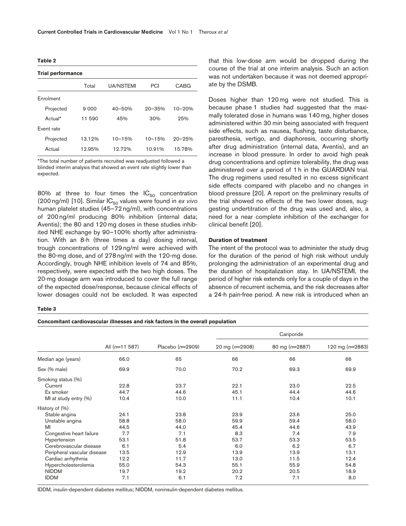**Table 2**

| <b>Trial performance</b> |        |            |            |            |  |  |  |  |  |
|--------------------------|--------|------------|------------|------------|--|--|--|--|--|
|                          | Total  | UA/NSTEMI  | PCI        | CABG       |  |  |  |  |  |
| <b>F</b> nrolment        |        |            |            |            |  |  |  |  |  |
| Projected                | 9000   | 40-50%     | $20 - 35%$ | $10 - 20%$ |  |  |  |  |  |
| Actual*                  | 11 590 | 45%        | 30%        | 25%        |  |  |  |  |  |
| Fvent rate               |        |            |            |            |  |  |  |  |  |
| Projected                | 13.12% | $10 - 15%$ | $10 - 15%$ | $20 - 25%$ |  |  |  |  |  |
| Actual                   | 12.95% | 12.72%     | 10.91%     | 15.78%     |  |  |  |  |  |

\*The total number of patients recruited was readjusted followed a blinded interim analysis that showed an event rate slightly lower than expected.

80% at three to four times the  $IC_{50}$  concentration (200 ng/ml) [10]. Similar IC<sub>50</sub> values were found in *ex vivo* human platelet studies (45–72 ng/ml), with concentrations of 200 ng/ml producing 80% inhibition (internal data; Aventis); the 80 and 120 mg doses in these studies inhibited NHE exchange by 90–100% shortly after administration. With an 8-h (three times a day) dosing interval, trough concentrations of 129 ng/ml were achieved with the 80-mg dose, and of 278 ng/ml with the 120-mg dose. Accordingly, trough NHE inhibition levels of 74 and 85%, respectively, were expected with the two high doses. The 20-mg dosage arm was introduced to cover the full range of the expected dose/response, because clinical effects of lower dosages could not be excluded. It was expected

# that this low-dose arm would be dropped during the course of the trial at one interim analysis. Such an action was not undertaken because it was not deemed appropriate by the DSMB.

Doses higher than 120 mg were not studied. This is because phase 1 studies had suggested that the maximally tolerated dose in humans was 140 mg, higher doses administered within 30 min being associated with frequent side effects, such as nausea, flushing, taste disturbance, paresthesia, vertigo, and diaphoresis, occurring shortly after drug administration (internal data, Aventis), and an increase in blood pressure. In order to avoid high peak drug concentrations and optimize tolerability, the drug was administered over a period of 1 h in the GUARDIAN trial. The drug regimens used resulted in no excess significant side effects compared with placebo and no changes in blood pressure [20]. A report on the preliminary results of the trial showed no effects of the two lower doses, suggesting undertitration of the drug was used and, also, a need for a near complete inhibition of the exchanger for clinical benefit [20].

# **Duration of treatment**

The intent of the protocol was to administer the study drug for the duration of the period of high risk without unduly prolonging the administration of an experimental drug and the duration of hospitalization stay. In UA/NSTEMI, the period of higher risk extends only for a couple of days in the absence of recurrent ischemia, and the risk decreases after a 24-h pain-free period. A new risk is introduced when an

### **Table 3**

#### **Concomitant cardiovascular illnesses and risk factors in the overall population**

|                             |                  |                    | Cariporide       |                  |                   |
|-----------------------------|------------------|--------------------|------------------|------------------|-------------------|
|                             | All $(n=11 587)$ | Placebo $(n=2909)$ | 20 mg $(n=2908)$ | 80 mg $(n=2887)$ | 120 mg $(n=2883)$ |
| Median age (years)          | 66.0             | 65                 | 66               | 66               | 66                |
| Sex (% male)                | 69.9             | 70.0               | 70.2             | 69.3             | 69.9              |
| Smoking status (%)          |                  |                    |                  |                  |                   |
| Current                     | 22.8             | 23.7               | 22.1             | 23.0             | 22.5              |
| Ex smoker                   | 44.7             | 44.6               | 45.1             | 44.4             | 44.6              |
| MI at study entry (%)       | 10.4             | 10.0               | 11.1             | 10.4             | 10.1              |
| History of (%)              |                  |                    |                  |                  |                   |
| Stable angina               | 24.1             | 23.8               | 23.9             | 23.6             | 25.0              |
| Unstable angina             | 58.8             | 58.0               | 59.9             | 59.4             | 58.0              |
| MI                          | 44.5             | 44.0               | 45.4             | 44.6             | 43.9              |
| Congestive heart failure    | 7.7              | 7.1                | 8.3              | 7.4              | 7.9               |
| Hypertension                | 53.1             | 51.8               | 53.7             | 53.3             | 53.5              |
| Cerebrovascular disease     | 6.1              | 5.4                | 6.0              | 6.2              | 6.7               |
| Peripheral vascular disease | 13.5             | 12.9               | 13.9             | 13.9             | 13.1              |
| Cardiac arrhythmia          | 12.2             | 11.7               | 13.0             | 11.5             | 12.4              |
| Hypercholesterolemia        | 55.0             | 54.3               | 55.1             | 55.9             | 54.8              |
| <b>NIDDM</b>                | 19.7             | 19.2               | 20.2             | 20.5             | 18.9              |
| <b>IDDM</b>                 | 7.1              | 6.1                | 7.2              | 7.1              | 8.0               |

IDDM, insulin-dependent diabetes mellitus; NIDDM, noninsulin-dependent diabetes mellitus.